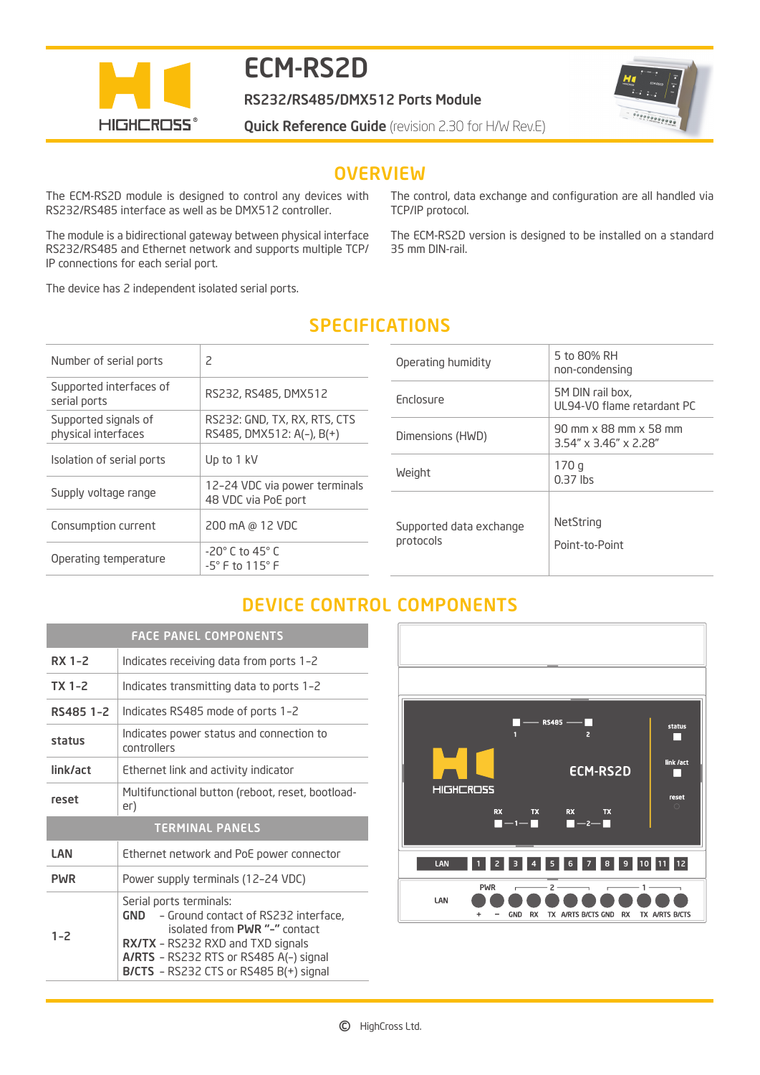

# ECM-RS2D

RS232/RS485/DMX512 Ports Module

 $\begin{array}{l} \begin{array}{c} \bullet \\ \bullet \\ \bullet \\ \bullet \end{array} \end{array} \begin{array}{c} \begin{array}{c} \bullet \\ \bullet \\ \bullet \\ \bullet \end{array} \end{array} \begin{array}{c} \begin{array}{c} \bullet \\ \bullet \\ \bullet \\ \bullet \end{array} \end{array} \begin{array}{c} \begin{array}{c} \bullet \\ \bullet \\ \bullet \\ \bullet \end{array} \end{array} \begin{array}{c} \begin{array}{c} \bullet \\ \bullet \\ \bullet \\ \bullet \end{array} \end{array} \end{array}$ 

**Quick Reference Guide** (revision 2.30 for H/W Rev.E)

## **OVERVIEW**

The ECM-RS2D module is designed to control any devices with RS232/RS485 interface as well as be DMX512 controller.

The module is a bidirectional gateway between physical interface RS232/RS485 and Ethernet network and supports multiple TCP/ IP connections for each serial port.

The device has 2 independent isolated serial ports.

The control, data exchange and configuration are all handled via TCP/IP protocol.

The ECM-RS2D version is designed to be installed on a standard 35 mm DIN-rail.

# SPECIFICATIONS

| Number of serial ports                      | 2                                                               |
|---------------------------------------------|-----------------------------------------------------------------|
| Supported interfaces of<br>serial ports     | RS232, RS485, DMX512                                            |
| Supported signals of<br>physical interfaces | RS232: GND, TX, RX, RTS, CTS<br>RS485, DMX512: A(-), B(+)       |
| Isolation of serial ports                   | Up to 1 kV                                                      |
| Supply voltage range                        | 12-24 VDC via power terminals<br>48 VDC via PoE port            |
| Consumption current                         | 200 mA @ 12 VDC                                                 |
| Operating temperature                       | $-20^\circ$ C to 45 $^\circ$ C<br>$-5^\circ$ F to $115^\circ$ F |

| Operating humidity                   | 5 to 80% RH<br>non-condensing                                 |
|--------------------------------------|---------------------------------------------------------------|
| <b>Enclosure</b>                     | 5M DIN rail box,<br>UL94-VO flame retardant PC                |
| Dimensions (HWD)                     | 90 mm x 88 mm x 58 mm<br>$3.54'' \times 3.46'' \times 2.28''$ |
| Weight                               | 170q<br>$0.37$ lbs                                            |
| Supported data exchange<br>protocols | NetString<br>Point-to-Point                                   |

# DEVICE CONTROL COMPONENTS

| <b>FACE PANEL COMPONENTS</b> |                                                                                                                                                                                                                                             |
|------------------------------|---------------------------------------------------------------------------------------------------------------------------------------------------------------------------------------------------------------------------------------------|
| RX 1-2                       | Indicates receiving data from ports 1-2                                                                                                                                                                                                     |
| $TX$ 1-2                     | Indicates transmitting data to ports 1-2                                                                                                                                                                                                    |
| RS485 1-2                    | Indicates RS485 mode of ports 1-2                                                                                                                                                                                                           |
| status                       | Indicates power status and connection to<br>controllers                                                                                                                                                                                     |
| link/act                     | Ethernet link and activity indicator                                                                                                                                                                                                        |
| reset                        | Multifunctional button (reboot, reset, bootload-<br>er)                                                                                                                                                                                     |
| <b>TERMINAL PANELS</b>       |                                                                                                                                                                                                                                             |
| LAN                          | Ethernet network and PoE power connector                                                                                                                                                                                                    |
| <b>PWR</b>                   | Power supply terminals (12-24 VDC)                                                                                                                                                                                                          |
| $1 - 2$                      | Serial ports terminals:<br>GND - Ground contact of RS232 interface,<br>isolated from PWR "-" contact<br><b>RX/TX</b> - RS232 RXD and TXD signals<br>A/RTS - RS232 RTS or RS485 A(-) signal<br><b>B/CTS</b> - RS232 CTS or RS485 B(+) signal |